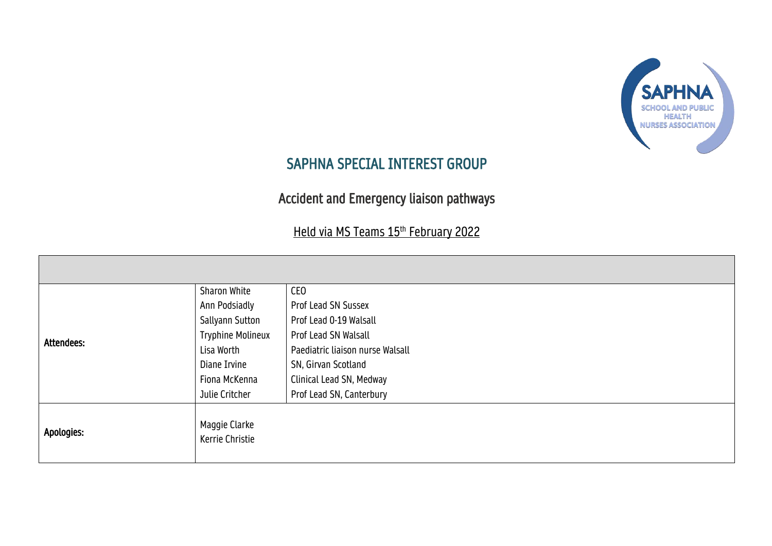

## SAPHNA SPECIAL INTEREST GROUP

## Accident and Emergency liaison pathways

## Held via MS Teams 15<sup>th</sup> February 2022

| Attendees: | Sharon White                     | CEO                              |
|------------|----------------------------------|----------------------------------|
|            | Ann Podsiadly                    | Prof Lead SN Sussex              |
|            | <b>Sallyann Sutton</b>           | Prof Lead 0-19 Walsall           |
|            | <b>Tryphine Molineux</b>         | Prof Lead SN Walsall             |
|            | Lisa Worth                       | Paediatric liaison nurse Walsall |
|            | Diane Irvine                     | SN, Girvan Scotland              |
|            | Fiona McKenna                    | Clinical Lead SN, Medway         |
|            | Julie Critcher                   | Prof Lead SN, Canterbury         |
| Apologies: | Maggie Clarke<br>Kerrie Christie |                                  |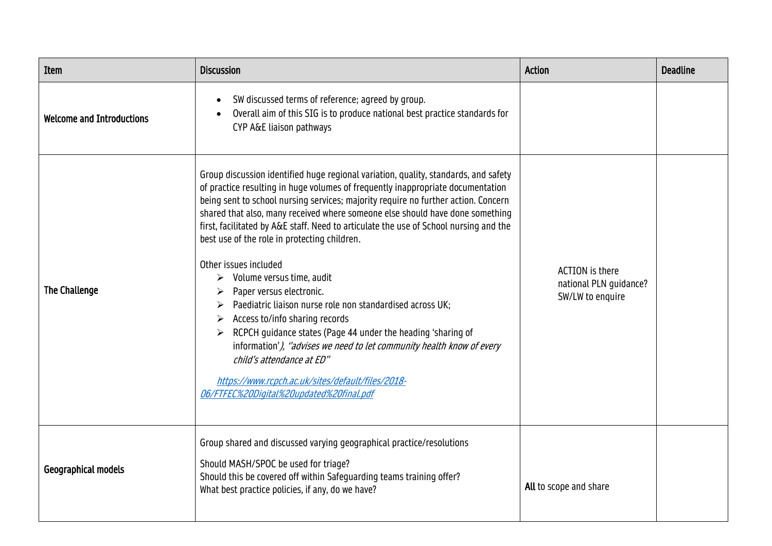| Item                             | <b>Discussion</b>                                                                                                                                                                                                                                                                                                                                                                                                                                                                                                                                                                                                                                                                                                                                                                                                                                                                                                                                                    | <b>Action</b>                                                        | <b>Deadline</b> |
|----------------------------------|----------------------------------------------------------------------------------------------------------------------------------------------------------------------------------------------------------------------------------------------------------------------------------------------------------------------------------------------------------------------------------------------------------------------------------------------------------------------------------------------------------------------------------------------------------------------------------------------------------------------------------------------------------------------------------------------------------------------------------------------------------------------------------------------------------------------------------------------------------------------------------------------------------------------------------------------------------------------|----------------------------------------------------------------------|-----------------|
| <b>Welcome and Introductions</b> | SW discussed terms of reference; agreed by group.<br>$\bullet$<br>Overall aim of this SIG is to produce national best practice standards for<br>CYP A&E liaison pathways                                                                                                                                                                                                                                                                                                                                                                                                                                                                                                                                                                                                                                                                                                                                                                                             |                                                                      |                 |
| <b>The Challenge</b>             | Group discussion identified huge regional variation, quality, standards, and safety<br>of practice resulting in huge volumes of frequently inappropriate documentation<br>being sent to school nursing services; majority require no further action. Concern<br>shared that also, many received where someone else should have done something<br>first, facilitated by A&E staff. Need to articulate the use of School nursing and the<br>best use of the role in protecting children.<br>Other issues included<br>$\triangleright$ Volume versus time, audit<br>Paper versus electronic.<br>Paediatric liaison nurse role non standardised across UK;<br>Access to/info sharing records<br>➤<br>RCPCH guidance states (Page 44 under the heading 'sharing of<br>information'), "advises we need to let community health know of every<br>child's attendance at ED"<br>https://www.rcpch.ac.uk/sites/default/files/2018-<br>06/FTFEC%20Digital%20updated%20final.pdf | <b>ACTION</b> is there<br>national PLN guidance?<br>SW/LW to enquire |                 |
| Geographical models              | Group shared and discussed varying geographical practice/resolutions<br>Should MASH/SPOC be used for triage?<br>Should this be covered off within Safeguarding teams training offer?<br>What best practice policies, if any, do we have?                                                                                                                                                                                                                                                                                                                                                                                                                                                                                                                                                                                                                                                                                                                             | All to scope and share                                               |                 |